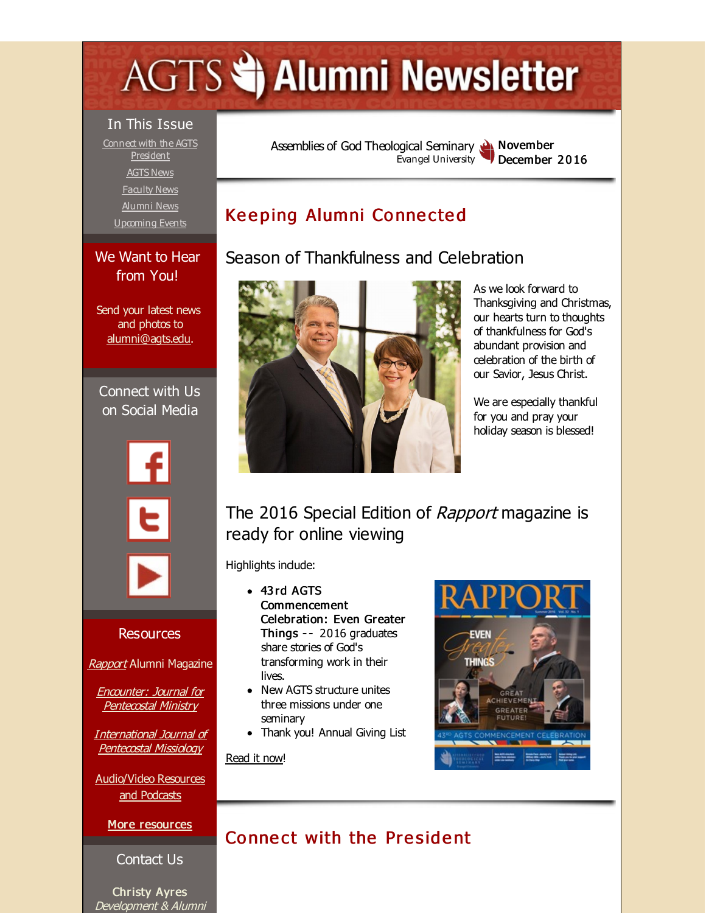# <span id="page-0-0"></span>**AGTS Statement Newsletter**

In This Issue Connect with the AGTS [President](#page-0-0) [AGTS](#page-0-0) News [Faculty](#page-0-0) News [Alumni](#page-0-0) News [Upcoming](#page-0-0) Events

We Want to Hear from You!

Send your latest news and photos to [alumni@agts.edu](mailto:alumni@agts.edu).

Connect with Us on Social Media





#### **Resources**

[Rapport](http://r20.rs6.net/tn.jsp?f=001kt_bhHoJjCy6CfMKPfXqtepl5l6GlPwljjE2jlX7YpS-v_R5-wMb3a4N9Hj5OXrFh-kar2ZCryzpDzgJtCaqULAfXDxI3obsn9W_GXYOsVkzdf_diCZsT0i5mC7h7PjI6GLufFZLavWWAwJlXhfDEey8z9aWnfARQLHx1E7QaPDtd1SKLqqDIMoI2MQ8YaI2&c=&ch=) Alumni Magazine

Encounter: Journal for [Pentecostal](http://r20.rs6.net/tn.jsp?f=001kt_bhHoJjCy6CfMKPfXqtepl5l6GlPwljjE2jlX7YpS-v_R5-wMb3b2mkLuL3Y9RmGQJOsoE7lzlKfe_m5GLynX4ggdn0_-Wf32g3nFYHMkJG-u6TDmBz0bfwgVNZxwH8AYpwBgUfJO6j4SyYezWPoo-5fpoMZetP6pyNaQiDYddAv7iQik7TOhNhJ_OF-Jq&c=&ch=) Ministry

[International](http://r20.rs6.net/tn.jsp?f=001kt_bhHoJjCy6CfMKPfXqtepl5l6GlPwljjE2jlX7YpS-v_R5-wMb3Xmkdf5xQqElMJ7_CAZxDNHj-VdUhBZORe4XrqakRzk5WA9_R_DQ39CmWAbiWQUfpLQbZzBimiJL2MZBiaayGxb0tOyugsctpqJ9fMZDs1QQASaRmReDJKmeMhWacLBG_8UM3m-ehJ1K&c=&ch=) Journal of Pentecostal Missiology

[Audio/Video](http://r20.rs6.net/tn.jsp?f=001kt_bhHoJjCy6CfMKPfXqtepl5l6GlPwljjE2jlX7YpS-v_R5-wMb3WEt3vM0clEpxKXbgdlbSzoRvNt2X6k6TdrCT4cG922fSv5gOR14bxe8SqlMqb5kD7OplwJB3ngUFHEbpXvt5Pwd1yuyPbmLjUrJ6fr0T1iBePnZcxjt1m6_U1XKhlBpDdWmBDKKZXjA&c=&ch=) Resources and Podcasts

#### More [resources](http://r20.rs6.net/tn.jsp?f=001kt_bhHoJjCy6CfMKPfXqtepl5l6GlPwljjE2jlX7YpS-v_R5-wMb3UDVRKn1YykRjJIwWlCYU8rM-DR8Ckgz56t_kpUfu4rPMh13pIx98J7m70ecZp6EEyh2lzxIjjRTswuGNHUQa2-RobaxjPD3Hos7P-FItkMGNTRek_JZR-yDbSwUMVo4dNzIOykXMY75spbLDcbtPOk=&c=&ch=)

Contact Us

Christy Ayres Development & Alumni Assemblies of God [Theological](http://r20.rs6.net/tn.jsp?f=001kt_bhHoJjCy6CfMKPfXqtepl5l6GlPwljjE2jlX7YpS-v_R5-wMb3beViTWj4GCNEEKeeTkSc_1L32tMKb4Am19G8TLaC3FZ82Yoi3E2NF1xZtQUpGWpUJrTFeT2JHakSv7WU8fiak11T5yNV7QKHRtl7N3OCcFy&c=&ch=) Seminary Evangel University November

## December 2016

## Keeping Alumni Connected

#### Season of Thankfulness and Celebration



As we look forward to Thanksgiving and Christmas, our hearts turn to thoughts of thankfulness for God's abundant provision and celebration of the birth of our Savior, Jesus Christ.

We are especially thankful for you and pray your holiday season is blessed!

# The 2016 Special Edition of Rapport magazine is ready for online viewing

Highlights indude:

- 43rd AGTS Commencement Celebration: Even Greater Things -- 2016 graduates share stories of God's transforming work in their lives.
- New AGTS structure unites three missions under one seminary
- Thank you! Annual Giving List

[Read](http://r20.rs6.net/tn.jsp?f=001kt_bhHoJjCy6CfMKPfXqtepl5l6GlPwljjE2jlX7YpS-v_R5-wMb3XToY7kpY2_vkZTktLDyu1o4GcnWqUZlICxxfbuog75vmxg3IkHUCvfuytxjLSwtlUqxAAtJXKO6kCA5ZTqE-AvIHC_-4ppF55CHyiW53t_xKPMek5pP_ZgiWeKJAG8qh2H-YPPRHcOx&c=&ch=) it now!



# Connect with the President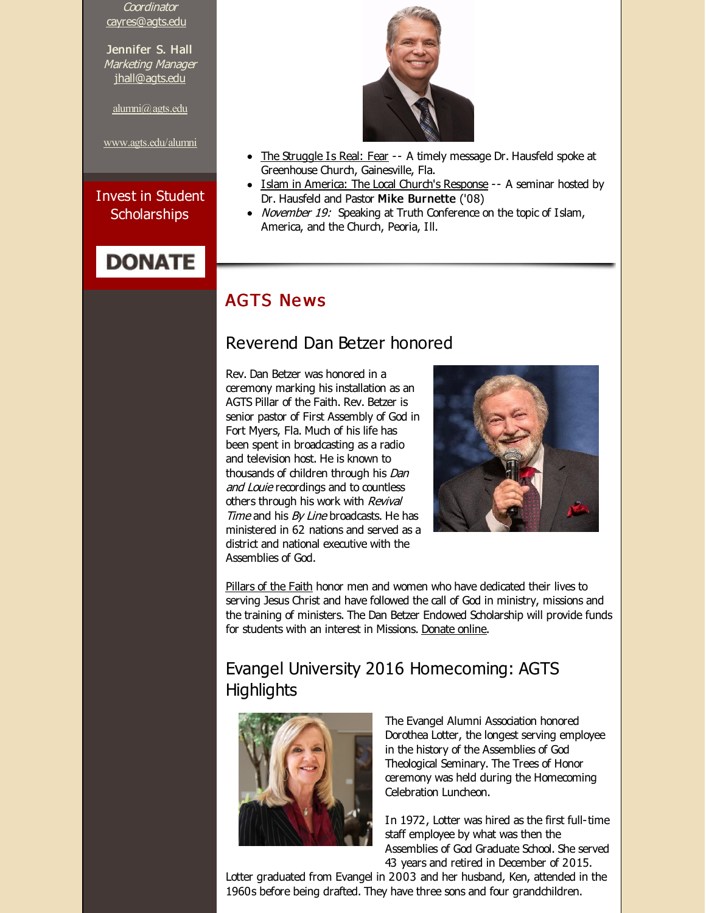**Coordinator** [cayres@agts.edu](mailto:cayres@agts.edu)

Jennifer S. Hall Marketing Manager [jhall@agts.edu](mailto:jhall@agts.edu)

[alumni@agts.edu](mailto:alumni@agts.edu)

[www.agts.edu/alumni](http://r20.rs6.net/tn.jsp?f=001kt_bhHoJjCy6CfMKPfXqtepl5l6GlPwljjE2jlX7YpS-v_R5-wMb3T_9T9GD9qQWHbkcWIYOv-6AUjGD0gmw3PtVmRJTpp2GdBHTHU-omP1zF3qCmKQfe4_tMy-gXWDu3fLZ_at323g0iq24PAchpvDh1gvOk5OqtrMIZxPT67KCXzLqAKtKHQ==&c=&ch=)

#### Invest in Student **Scholarships**

# **DONATE**



- The [Struggle](http://r20.rs6.net/tn.jsp?f=001kt_bhHoJjCy6CfMKPfXqtepl5l6GlPwljjE2jlX7YpS-v_R5-wMb3XToY7kpY2_vKL9DCNq8R9wpxnwUAikt5aAYuJ5YU3k5S3DAYOxa9F-9-P7_YeainUR5jXmyk2aDXKilEEnsSfersd0YpgqFFCkR1tN93V6PzHjhDxxWE-f7C-rQHWAZj2Lav5BLmTJpDzMUylelAKo=&c=&ch=) Is Real: Fear -- A timely message Dr. Hausfeld spoke at Greenhouse Church, Gainesville, Fla.
- Islam in [America:](http://r20.rs6.net/tn.jsp?f=001kt_bhHoJjCy6CfMKPfXqtepl5l6GlPwljjE2jlX7YpS-v_R5-wMb3d9aKyFMuTvWmmoc6nDikzkppNEuEtkMFrHT-bXSY2gQ_MBCoGuLSqTBFJQp4HwUWYBhBvwEEWwL7rLI9H5QPGmGRhY5AtKjRclgCoqFpa_KD1ccqquL3NUB1zFqwzuwK55s8pGEAz_b8pF-xHQSlKXtCRvsAWd9FkQgCT0vboWXPT8JESswgF8=&c=&ch=) The Local Church's Response -- A seminar hosted by Dr. Hausfeld and Pastor Mike Burnette ('08)
- November 19: Speaking at Truth Conference on the topic of Islam, America, and the Church, Peoria, Ill.

## **AGTS News**

#### Reverend Dan Betzer honored

Rev. Dan Betzer was honored in a ceremony marking his installation as an AGTS Pillar of the Faith. Rev. Betzer is senior pastor of First Assembly of God in Fort Myers, Fla. Much of his life has been spent in broadcasting as a radio and television host. He is known to thousands of children through his Dan and Louie recordings and to countless others through his work with Revival Time and his By Line broadcasts. He has ministered in 62 nations and served as a district and national executive with the Assemblies of God.



[Pillars](http://r20.rs6.net/tn.jsp?f=001kt_bhHoJjCy6CfMKPfXqtepl5l6GlPwljjE2jlX7YpS-v_R5-wMb3Tqm5RgmhlPtWssI-R_gQUptNMGusMLSXtltFuMNryi3eOWJm5r9H0m0a-vtDXbwZJPgknODaRk-Q_g-f7Tr1cWOTVWk83n0eAyDL3LPjdApUOA3-UBpO1ZabiCn6jq_FXTGL24ZJZC6VenPLIwmm3LWnIdI7o5Hxw==&c=&ch=) of the Faith honor men and women who have dedicated their lives to serving Jesus Christ and have followed the call of God in ministry, missions and the training of ministers. The Dan Betzer Endowed Scholarship will provide funds for students with an interest in Missions. [Donate](http://r20.rs6.net/tn.jsp?f=001kt_bhHoJjCy6CfMKPfXqtepl5l6GlPwljjE2jlX7YpS-v_R5-wMb3V_yzZ2bZWM_QibsjsKCIAoqIXe3VxU1ENJN8J1xM4o87dLtsF9iDF1lVQAcGyU9CVlNgl0hRIiSHZ04k6vXBjt99tmmJ5ungUh7X7yuNbn51MpTMC7jUz89DLypLKjXwxUhPUonVaS7yFVmrqxp9-SnGXvqy7iCRg==&c=&ch=) online.

# Evangel University 2016 Homecoming: AGTS **Highlights**



The Evangel Alumni Association honored Dorothea Lotter, the longest serving employee in the history of the Assemblies of God Theological Seminary. The Trees of Honor ceremony was held during the Homecoming Celebration Luncheon.

In 1972, Lotter was hired as the first full-time staff employee by what was then the Assemblies of God Graduate School. She served 43 years and retired in December of 2015.

Lotter graduated from Evangel in 2003 and her husband, Ken, attended in the 1960s before being drafted. They have three sons and four grandchildren.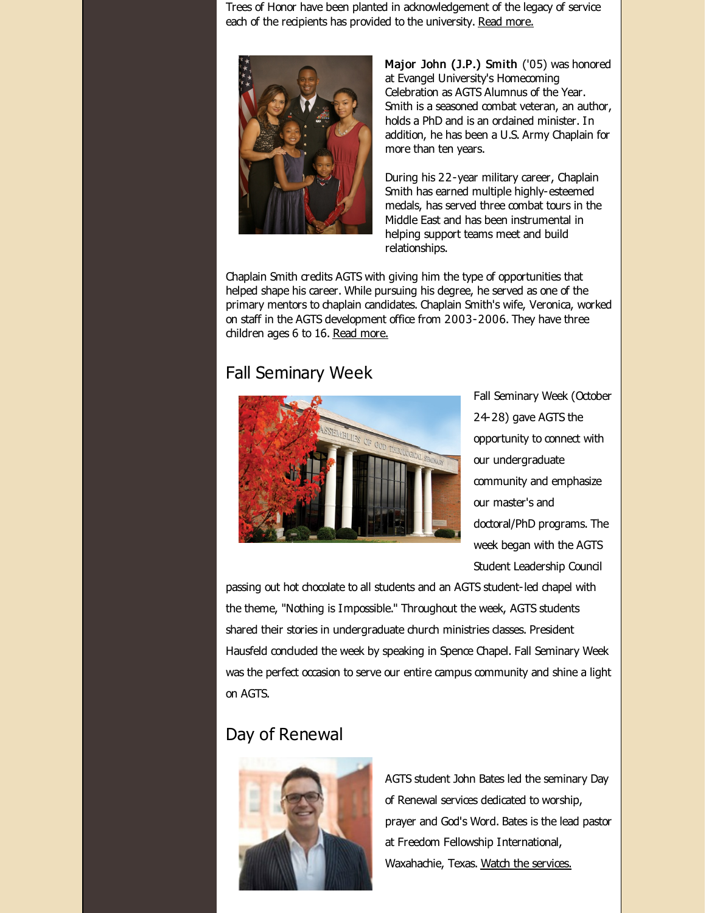Trees of Honor have been planted in acknowledgement of the legacy of service each of the recipients has provided to the university. Read [more.](http://r20.rs6.net/tn.jsp?f=001kt_bhHoJjCy6CfMKPfXqtepl5l6GlPwljjE2jlX7YpS-v_R5-wMb3XToY7kpY2_vyrH-censJAYJGI3938s1ab7KUDR2CHlSen-_QPt___Wjpq5ekfwUAfK8z9Vu9n5yNINdbUf9fjqNjImuGPdVnSXfsk8de5iJ7R0oRvXkkogdXjuFGE4gdG-vZg5IUOfxCnqAoEr_BbmjyD81SmxG4Wm0nUPS4lI6acGEXvPJsVad8yFAySomGRBr8MNobQ7fhoxUsmphlOc=&c=&ch=)



Major John (J.P.) Smith ('05) was honored at Evangel University's Homecoming Celebration as AGTS Alumnus of the Year. Smith is a seasoned combat veteran, an author, holds a PhD and is an ordained minister. In addition, he has been a U.S. Army Chaplain for more than ten years.

During his 22-year military career, Chaplain Smith has earned multiple highly-esteemed medals, has served three combat tours in the Middle East and has been instrumental in helping support teams meet and build relationships.

Chaplain Smith credits AGTS with giving him the type of opportunities that helped shape his career. While pursuing his degree, he served as one of the primary mentors to chaplain candidates. Chaplain Smith's wife, Veronica, worked on staff in the AGTS development office from 2003-2006. They have three children ages 6 to 16. Read [more.](http://r20.rs6.net/tn.jsp?f=001kt_bhHoJjCy6CfMKPfXqtepl5l6GlPwljjE2jlX7YpS-v_R5-wMb3XToY7kpY2_vYWG27aFktWFF7rpxGbxlsA-8vnjjOeKiYa6ocLhLNKcXN5wG9IkpGT9xfVEmSxfR_XiAybKSoGU-fnpOLOHl7EN9o7Cj0-gokCdR5Xp0JBC6_dAc0GIxZ8c2fLurQ1URTnCD9uVVvgOyYpgkQvqxRv-HbxbYcbb0K1hEFij1DuFcwvO2H4r_0FV8U8X6k7F6SvlnSLGtjV-qY335JYbvkQ==&c=&ch=)

#### Fall Seminary Week



Fall Seminary Week (October 24-28) gave AGTS the opportunity to connect with our undergraduate community and emphasize our master's and doctoral/PhD programs. The week began with the AGTS Student Leadership Council

passing out hot chocolate to all students and an AGTS student-led chapel with the theme, "Nothing is Impossible." Throughout the week, AGTS students shared their stories in undergraduate church ministries dasses. President Hausfeld concluded the week by speaking in Spence Chapel. Fall Seminary Week was the perfect occasion to serve our entire campus community and shine a light on AGTS.

#### Day of Renewal



AGTS student John Bates led the seminary Day of Renewal services dedicated to worship, prayer and God's Word. Bates is the lead pastor at Freedom Fellowship International, Waxahachie, Texas. Watch the [services.](http://r20.rs6.net/tn.jsp?f=001kt_bhHoJjCy6CfMKPfXqtepl5l6GlPwljjE2jlX7YpS-v_R5-wMb3XToY7kpY2_vr85dAcVv-EFPP4Sp6GeLVcz76eJie6XjLqdCoAR1FFx1FafMbOxWX52MUWjgC9M0rOM66X_VB7c21c5lgqzg15PCRczuZ1MnLIO8rmjTHIqICCxuMQg07r9ruRDhS5XFpLBvjjIElWpYeBm_UNrWgQ3KyyrnNZAdMCwlZg1V9C8=&c=&ch=)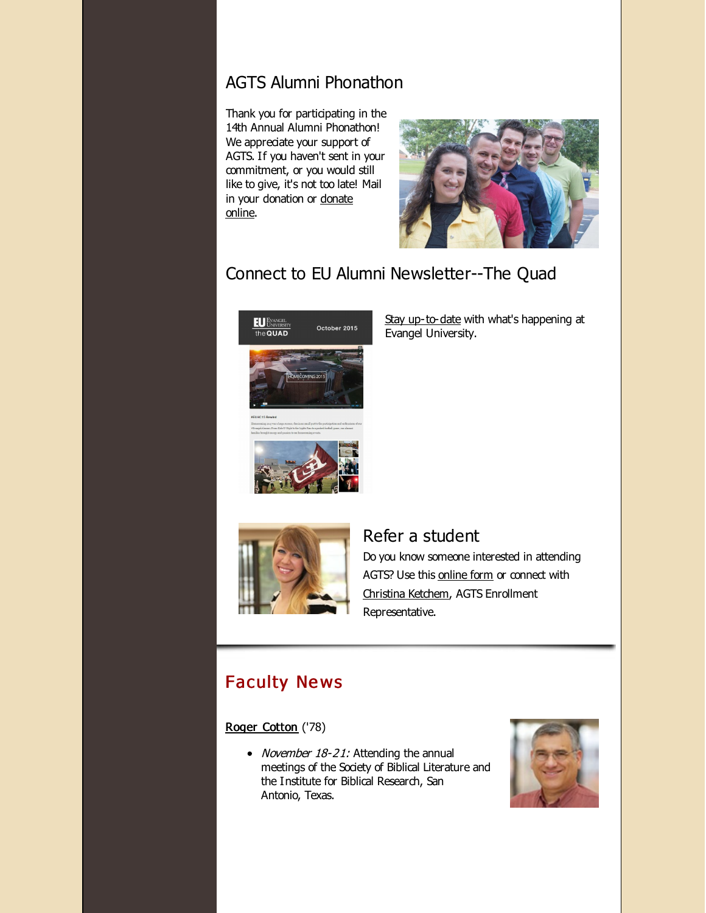## AGTS Alumni Phonathon

Thank you for participating in the 14th Annual Alumni Phonathon! We appreciate your support of AGTS. If you haven't sent in your commitment, or you would still like to give, it's not too late! Mail in your [donation](http://r20.rs6.net/tn.jsp?f=001kt_bhHoJjCy6CfMKPfXqtepl5l6GlPwljjE2jlX7YpS-v_R5-wMb3QiB0xMk-ttWiYbr-ieBFR740bntSky1LdYQhfPDFk0np9LFu-8UWej5mE6Wj9fvphZbM8Un9imMLPhIagEIPiGIQGKgZStKSNW_tM6CN_vvXIblQFJOAZ6LWmVh2HrKY9VIqCWMP1HtVDpM7Pv5X_dMQDlazSOTOw==&c=&ch=) or donate online.



## Connect to EU Alumni Newsletter--The Quad



Stay [up-to-date](http://r20.rs6.net/tn.jsp?f=001kt_bhHoJjCy6CfMKPfXqtepl5l6GlPwljjE2jlX7YpS-v_R5-wMb3Xi0QTJ6ctyHZLJufJAS7VXlRm60-A7a5AAsSyPRqTS2onrWL-p5VvFuQb8vRll_fpskqZd1zRlp0Fb9N4KB3J1XZWnHrwCF73Q4ehWZP8-otXXgapyVniotpu-5lAEtaocirOlmhOsOvG-4IlWMTJVJHReNrG5Z-ZPXy0olNyJtc6hXaTWG5_yOfbMPOSjnkNInUtjO01oc_sMtAUJKPLw=&c=&ch=) with what's happening at Evangel University.



#### Refer a student

Do you know someone interested in attending AGTS? Use this [online](http://r20.rs6.net/tn.jsp?f=001kt_bhHoJjCy6CfMKPfXqtepl5l6GlPwljjE2jlX7YpS-v_R5-wMb3UZTSph5qRNxeHXQ1rE-LHWtaK4sTkEY0glK1mRvFBB6iFPFMxWvntxRU5IrTUXBJh6LDYBjX0MDZeMO2AHPHpCVVnqdHncCOCFm7VGMgnRGiXrJtWM6HYksfQGUtc90sqtQ29bA3DRH&c=&ch=) form or connect with [Christina](mailto:cketchem@evangel.edu) Ketchem, AGTS Enrollment Representative.

## Faculty Ne ws

#### Roger [Cotton](http://r20.rs6.net/tn.jsp?f=001kt_bhHoJjCy6CfMKPfXqtepl5l6GlPwljjE2jlX7YpS-v_R5-wMb3ZuqJxF0h3kaAT0WYUbfsC1IYF1oFrFHFC_JMTVUH6EAGsMQ7jpyEvdXodpl-jEfdDaxyHy6WCVX3cTdmecot7CczC7RUMH-qgC6YCqiccTA6My-xMVcNAImYAWGT7YQhLI6LogknOkw&c=&ch=) ('78)

• November  $18-21$ : Attending the annual meetings of the Society of Biblical Literature and the Institute for Biblical Research, San Antonio, Texas.

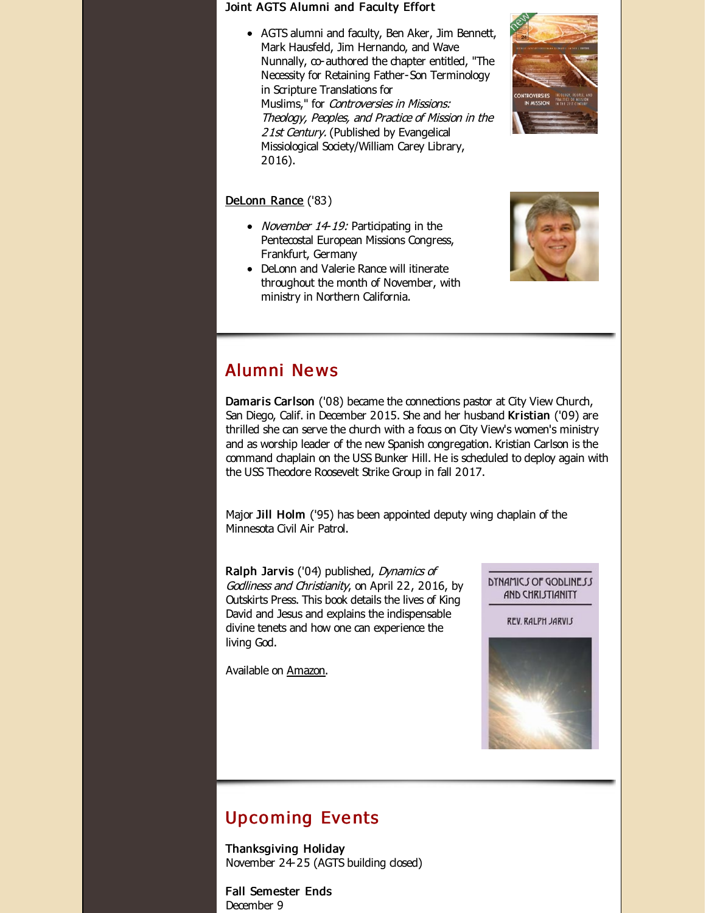#### Joint AGTS Alumni and Faculty Effort

AGTS alumni and faculty, Ben Aker, Jim Bennett, Mark Hausfeld, Jim Hernando, and Wave Nunnally, co-authored the chapter entitled, "The Necessity for Retaining Father-Son Terminology in Scripture Translations for Muslims," for Controversies in Missions: Theology, Peoples, and Practice of Mission in the 21st Century. (Published by Evangelical Missiological Society/William Carey Library, 2016).



#### [DeLonn](http://r20.rs6.net/tn.jsp?f=001kt_bhHoJjCy6CfMKPfXqtepl5l6GlPwljjE2jlX7YpS-v_R5-wMb3TK3q8AY7_N2_j5bAkFCz_7VZ2vDPX9060VL8p1f4cXcyHA35JQxkjzI8sepltuBh4QZ5ZSvR2_cPcibktJXCH35QnBMmxT5LOEwsTU7qHoTBx_3QNMqae5Sn7HlK_H6UGgTw13Qiqs3&c=&ch=) Rance ('83)

- November  $14-19$ : Participating in the Pentecostal European Missions Congress, Frankfurt, Germany
- DeLonn and Valerie Rance will itinerate throughout the month of November, with ministry in Northern California.



## Alumni Ne ws

Damaris Carlson ('08) became the connections pastor at City View Church, San Diego, Calif. in December 2015. She and her husband Kristian ('09) are thrilled she can serve the church with a focus on City View's women's ministry and as worship leader of the new Spanish congregation. Kristian Carlson is the command chaplain on the USS Bunker Hill. He is scheduled to deploy again with the USS Theodore Roosevelt Strike Group in fall 2017.

Major Jill Holm ('95) has been appointed deputy wing chaplain of the Minnesota Civil Air Patrol.

Ralph Jarvis ('04) published, Dynamics of Godliness and Christianity, on April 22, 2016, by Outskirts Press. This book details the lives of King David and Jesus and explains the indispensable divine tenets and how one can experience the living God.

Available on [Amazon](http://r20.rs6.net/tn.jsp?f=001kt_bhHoJjCy6CfMKPfXqtepl5l6GlPwljjE2jlX7YpS-v_R5-wMb3XToY7kpY2_vUe16thKT0Gy14dJV4vIowrY1e6OvezF5wKoaSTjVVOzuVaEsL9LK2e3qnNtD1h7zduCXGF9CD3wm-7fFjut4vDsHlJeEyWqrLCMrelyYbRdOXPIr27kz2E4VrtaP-hPrJJoZ3nlbpJCxbNiWwTUIEt9SLqAjXhPJ-H4CTGONZfHIBQhRpybgItv9qd-xplBbf07zk2tHCRnrTll_Bwo0D3hTrKfru4NYjipl7TBEEqHQIp8Vptjb8Yr9Weu-88zUcGS_iIMhog9ObHnenRH7ObM22w6FaCjf6vksMerBeaC1ZYuYj0gkRF7lN_7yDLRr1NimbxruY4kuZHETUMqrrCBjvJy7m67z&c=&ch=).



## **Upcoming Events**

Thanksgiving Holiday November 24-25 (AGTS building dosed)

Fall Semester Ends December 9